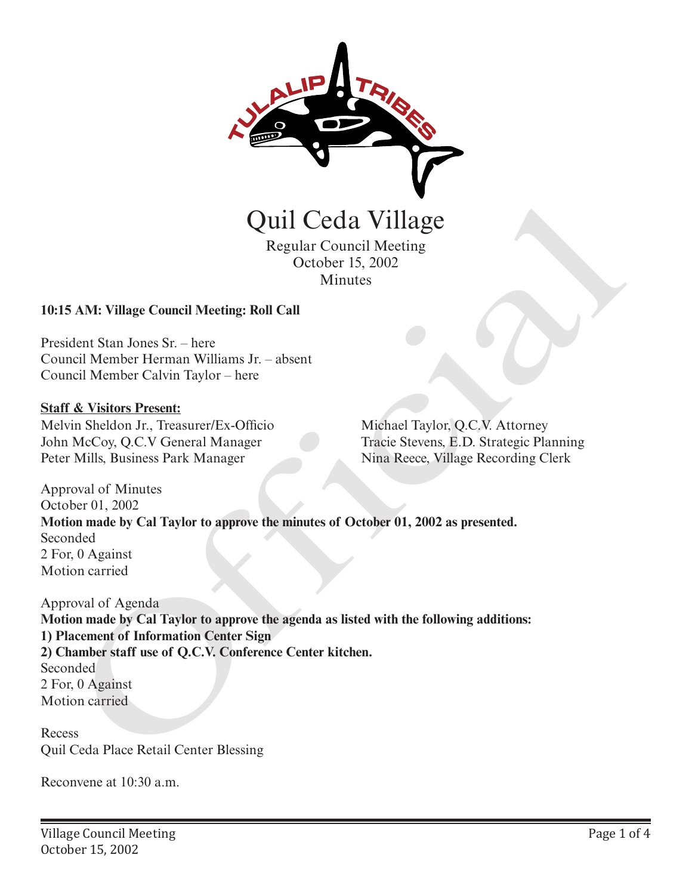

Regular Council Meeting October 15, 2002 Minutes

# **10:15 AM: Village Council Meeting: Roll Call**

President Stan Jones Sr. – here Council Member Herman Williams Jr. – absent Council Member Calvin Taylor – here

### **Staff & Visitors Present:**

Melvin Sheldon Jr., Treasurer/Ex-Officio John McCoy, Q.C.V General Manager Peter Mills, Business Park Manager

Michael Taylor, Q.C.V. Attorney Tracie Stevens, E.D. Strategic Planning Nina Reece, Village Recording Clerk

Approval of Minutes October 01, 2002 **Motion made by Cal Taylor to approve the minutes of October 01, 2002 as presented.** Seconded 2 For, 0 Against Motion carried

Approval of Agenda **Motion made by Cal Taylor to approve the agenda as listed with the following additions: 1) Placement of Information Center Sign 2) Chamber staff use of Q.C.V. Conference Center kitchen.** Seconded 2 For, 0 Against Motion carried Quill Ceda Village<br>
Regular Council Meeting<br>
Cetober 15, 2002<br>
Minutes<br>
SAM: Village Council Meeting: Roll Call<br>
dent Stan Jones Sr. – here<br>
in Sheldon Jr., Treasurer/Ex-Officio<br>
in Sheldon Jr., Treasurer/Ex-Officio<br>
Micha

Recess Quil Ceda Place Retail Center Blessing

Reconvene at 10:30 a.m.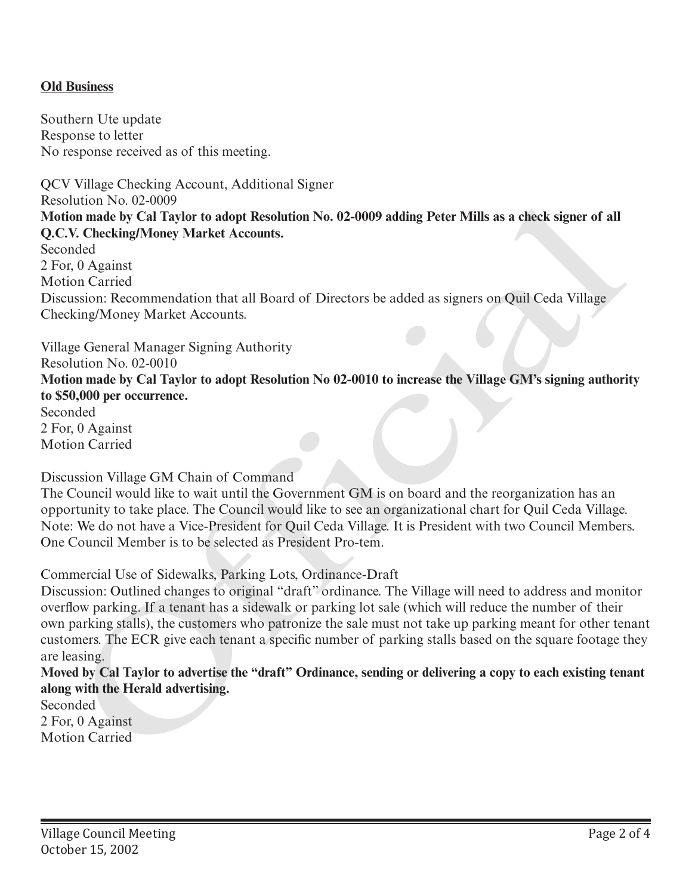# **Old Business**

Southern Ute update Response to letter No response received as of this meeting.

QCV Village Checking Account, Additional Signer Resolution No. 02-0009 **Motion made by Cal Taylor to adopt Resolution No. 02-0009 adding Peter Mills as a check signer of all Q.C.V. Checking/Money Market Accounts.** Seconded 2 For, 0 Against Motion Carried Discussion: Recommendation that all Board of Directors be added as signers on Quil Ceda Village Checking/Money Market Accounts. Resolution No. 02-40009<br>
Motion made by Cal Taylor to adopt Resolution No. 02-0009 adding Peter Mills as a check signer of all<br>
QC.V. Checking/Money Market Accounts.<br>
Seconded<br>
Seconded<br>
Official Carried Commonlation that

Village General Manager Signing Authority Resolution No. 02-0010 **Motion made by Cal Taylor to adopt Resolution No 02-0010 to increase the Village GM's signing authority to \$50,000 per occurrence.**  Seconded

2 For, 0 Against Motion Carried

Discussion Village GM Chain of Command

The Council would like to wait until the Government GM is on board and the reorganization has an opportunity to take place. The Council would like to see an organizational chart for Quil Ceda Village. Note: We do not have a Vice-President for Quil Ceda Village. It is President with two Council Members. One Council Member is to be selected as President Pro-tem.

Commercial Use of Sidewalks, Parking Lots, Ordinance-Draft

Discussion: Outlined changes to original "draft" ordinance. The Village will need to address and monitor overflow parking. If a tenant has a sidewalk or parking lot sale (which will reduce the number of their own parking stalls), the customers who patronize the sale must not take up parking meant for other tenant customers. The ECR give each tenant a specific number of parking stalls based on the square footage they are leasing.

**Moved by Cal Taylor to advertise the "draft" Ordinance, sending or delivering a copy to each existing tenant along with the Herald advertising.**

Seconded 2 For, 0 Against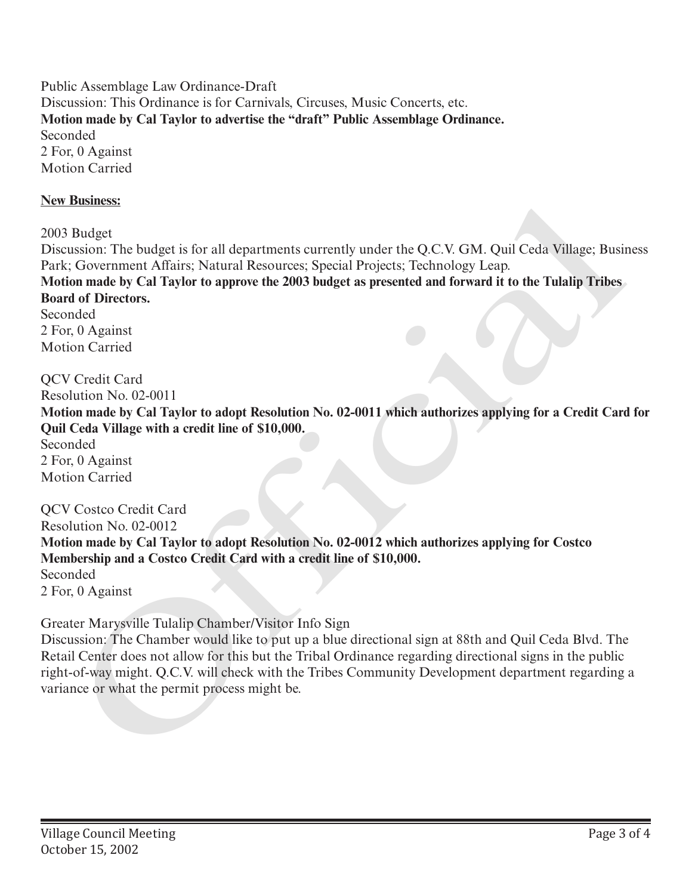Public Assemblage Law Ordinance-Draft Discussion: This Ordinance is for Carnivals, Circuses, Music Concerts, etc. **Motion made by Cal Taylor to advertise the "draft" Public Assemblage Ordinance.** Seconded 2 For, 0 Against Motion Carried

### **New Business:**

2003 Budget

Discussion: The budget is for all departments currently under the Q.C.V. GM. Quil Ceda Village; Business Park; Government Affairs; Natural Resources; Special Projects; Technology Leap.

**Motion made by Cal Taylor to approve the 2003 budget as presented and forward it to the Tulalip Tribes Board of Directors.** 

Seconded 2 For, 0 Against Motion Carried

QCV Credit Card Resolution No. 02-0011 **Motion made by Cal Taylor to adopt Resolution No. 02-0011 which authorizes applying for a Credit Card for Quil Ceda Village with a credit line of \$10,000.** Seconded 2 For, 0 Against Motion Carried New BBRINGS:<br>
2003 Bludget<br>
2013 Bludget Hotelstei is for all departments currently under the Q.C.V. GM. Quil Ceda Village; Busin<br>
This Covernment Alfains; Natural Resources: Special Projects; Technology Leap.<br>
2016 Motion

QCV Costco Credit Card Resolution No. 02-0012 **Motion made by Cal Taylor to adopt Resolution No. 02-0012 which authorizes applying for Costco Membership and a Costco Credit Card with a credit line of \$10,000.** Seconded 2 For, 0 Against

Greater Marysville Tulalip Chamber/Visitor Info Sign

Discussion: The Chamber would like to put up a blue directional sign at 88th and Quil Ceda Blvd. The Retail Center does not allow for this but the Tribal Ordinance regarding directional signs in the public right-of-way might. Q.C.V. will check with the Tribes Community Development department regarding a